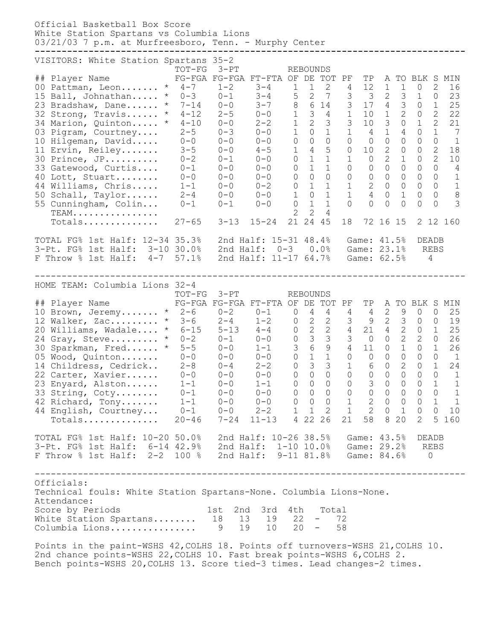Official Basketball Box Score White Station Spartans vs Columbia Lions 03/21/03 7 p.m. at Murfreesboro, Tenn. - Murphy Center **--------------------------------------------------------------------------------** VISITORS: White Station Spartans 35-2 TOT-FG 3-PT REBOUNDS ## Player Name FG-FGA FG-FGA FT-FTA OF DE TOT PF TP A TO BLK S MIN 00 Pattman, Leon....... \* 4-7 1-2 3-4 1 1 2 4 12 1 1 0 2 16 15 Ball, Johnathan..... \* 0-3 0-1 3-4 5 2 7 3 3 2 3 1 0 23 23 Bradshaw, Dane...... \* 7-14 0-0 3-7 8 6 14 3 17 4 3 0 1 25 32 Strong, Travis...... \* 4-12 2-5 0-0 1 3 4 1 10 1 2 0 2 22 34 Marion, Quinton..... \* 4-10 0-0 2-2 1 2 3 3 10 3 0 1 2 21 03 Pigram, Courtney.... 2-5 0-3 0-0 1 0 1 1 4 1 4 0 1 7 10 Hilgeman, David..... 0-0 0-0 0-0 0 0 0 0 0 0 0 0 0 1 11 Ervin, Reiley....... 3-5 0-0 4-5 1 4 5 0 10 2 0 0 2 18 30 Prince, JP.......... 0-2 0-1 0-0 0 1 1 1 0 2 1 0 2 10 33 Gatewood, Curtis.... 0-1 0-0 0-0 0 1 1 0 0 0 0 0 0 4 40 Lott, Stuart........ 0-0 0-0 0-0 0 0 0 0 0 0 0 0 0 1 44 Williams, Chris..... 1-1 0-0 0-2 0 1 1 1 2 0 0 0 0 1 50 Schall, Taylor...... 2-4 0-0 0-0 1 0 1 1 4 0 1 0 0 8 55 Cunningham, Colin... 0-1 0-1 0-0 0 1 1 0 0 0 0 0 0 3 TEAM................ 2 2 4 Totals.............. 27-65 3-13 15-24 21 24 45 18 72 16 15 2 12 160 TOTAL FG% 1st Half: 12-34 35.3% 2nd Half: 15-31 48.4% Game: 41.5% DEADB 3-Pt. FG% 1st Half: 3-10 30.0% 2nd Half: 0-3 0.0% Game: 23.1% REBS F Throw % 1st Half: 4-7 57.1% 2nd Half: 11-17 64.7% Game: 62.5% 4 -------------------------------------------------------------------------------- HOME TEAM: Columbia Lions 32-4 TOT-FG 3-PT REBOUNDS ## Player Name FG-FGA FG-FGA FT-FTA OF DE TOT PF TP A TO BLK S MIN 10 Brown, Jeremy....... \* 2-6 0-2 0-1 0 4 4 4 4 2 9 0 0 25 12 Walker, Zac......... \* 3-6 2-4 1-2 0 2 2 3 9 2 3 0 0 19 20 Williams, Wadale.... \* 6-15 5-13 4-4 0 2 2 4 21 4 2 0 1 25 24 Gray, Steve......... \* 0-2 0-1 0-0 0 3 3 3 0 0 2 2 0 26 30 Sparkman, Fred...... \* 5-5 0-0 1-1 3 6 9 4 11 0 1 0 1 26 05 Wood, Quinton....... 0-0 0-0 0-0 0 1 1 0 0 0 0 0 0 1 14 Childress, Cedrick.. 2-8 0-4 2-2 0 3 3 1 6 0 2 0 1 24 22 Carter, Xavier...... 0-0 0-0 0-0 0 0 0 0 0 0 0 0 0 1 23 Enyard, Alston...... 1-1 0-0 1-1 0 0 0 0 3 0 0 0 1 1 33 String, Coty........ 0-1 0-0 0-0 0 0 0 0 0 0 0 0 0 1 42 Richard, Tony....... 1-1 0-0 0-0 0 0 0 1 2 0 0 0 1 1 44 English, Courtney... 0-1 0-0 2-2 1 1 2 1 2 0 1 0 0 10 Totals.............. 20-46 7-24 11-13 4 22 26 21 58 8 20 2 5 160 TOTAL FG% 1st Half: 10-20 50.0% 2nd Half: 10-26 38.5% Game: 43.5% DEADB 3-Pt. FG% 1st Half: 6-14 42.9% 2nd Half: 1-10 10.0% Game: 29.2% REBS F Throw % 1st Half: 2-2 100 % 2nd Half: 9-11 81.8% Game: 84.6% 0 -------------------------------------------------------------------------------- Officials: Technical fouls: White Station Spartans-None. Columbia Lions-None. Attendance: Score by Periods 1st 2nd 3rd 4th Total White Station Spartans........ 18 13 19 22 - 72 Columbia Lions................ 9 19 10 20 - 58

Points in the paint-WSHS 42,COLHS 18. Points off turnovers-WSHS 21,COLHS 10. 2nd chance points-WSHS 22,COLHS 10. Fast break points-WSHS 6,COLHS 2. Bench points-WSHS 20,COLHS 13. Score tied-3 times. Lead changes-2 times.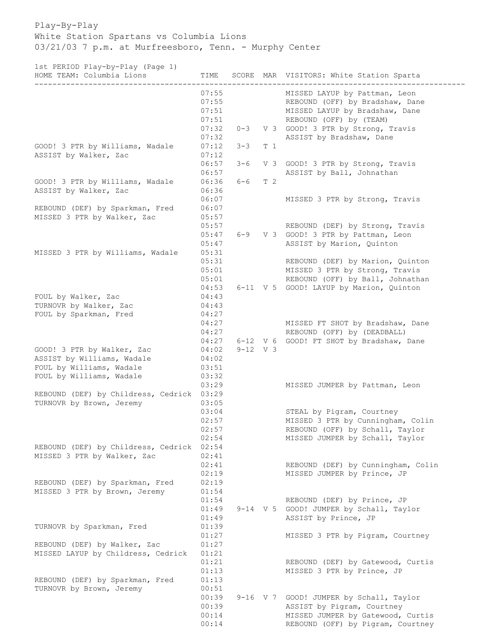Play-By-Play White Station Spartans vs Columbia Lions 03/21/03 7 p.m. at Murfreesboro, Tenn. - Murphy Center

1st PERIOD Play-by-Play (Page 1)

| roc finitol frag by frag (fago f)<br>HOME TEAM: Columbia Lions | TIME                    |            |     | SCORE MAR VISITORS: White Station Sparta                                                           |
|----------------------------------------------------------------|-------------------------|------------|-----|----------------------------------------------------------------------------------------------------|
|                                                                | 07:55<br>07:55<br>07:51 |            |     | MISSED LAYUP by Pattman, Leon<br>REBOUND (OFF) by Bradshaw, Dane<br>MISSED LAYUP by Bradshaw, Dane |
|                                                                | 07:51                   |            |     | REBOUND (OFF) by (TEAM)                                                                            |
|                                                                | 07:32                   | $0 - 3$    |     | V 3 GOOD! 3 PTR by Strong, Travis                                                                  |
|                                                                | 07:32                   |            |     | ASSIST by Bradshaw, Dane                                                                           |
| GOOD! 3 PTR by Williams, Wadale                                | 07:12                   | $3 - 3$    | T 1 |                                                                                                    |
| ASSIST by Walker, Zac                                          | 07:12                   |            |     |                                                                                                    |
|                                                                | 06:57                   | $3 - 6$    |     | V 3 GOOD! 3 PTR by Strong, Travis                                                                  |
|                                                                | 06:57                   |            |     | ASSIST by Ball, Johnathan                                                                          |
| GOOD! 3 PTR by Williams, Wadale                                | 06:36                   | $6 - 6$    | T 2 |                                                                                                    |
| ASSIST by Walker, Zac                                          | 06:36                   |            |     |                                                                                                    |
|                                                                | 06:07                   |            |     | MISSED 3 PTR by Strong, Travis                                                                     |
| REBOUND (DEF) by Sparkman, Fred                                | 06:07                   |            |     |                                                                                                    |
| MISSED 3 PTR by Walker, Zac                                    | 05:57                   |            |     |                                                                                                    |
|                                                                | 05:57                   |            |     | REBOUND (DEF) by Strong, Travis                                                                    |
|                                                                | 05:47                   | $6 - 9$    |     | V 3 GOOD! 3 PTR by Pattman, Leon                                                                   |
|                                                                | 05:47                   |            |     | ASSIST by Marion, Quinton                                                                          |
| MISSED 3 PTR by Williams, Wadale                               | 05:31                   |            |     |                                                                                                    |
|                                                                | 05:31                   |            |     | REBOUND (DEF) by Marion, Quinton                                                                   |
|                                                                | 05:01                   |            |     | MISSED 3 PTR by Strong, Travis                                                                     |
|                                                                | 05:01                   |            |     | REBOUND (OFF) by Ball, Johnathan                                                                   |
|                                                                | 04:53                   |            |     | 6-11 V 5 GOOD! LAYUP by Marion, Quinton                                                            |
| FOUL by Walker, Zac                                            | 04:43                   |            |     |                                                                                                    |
| TURNOVR by Walker, Zac                                         | 04:43                   |            |     |                                                                                                    |
| FOUL by Sparkman, Fred                                         | 04:27<br>04:27          |            |     | MISSED FT SHOT by Bradshaw, Dane                                                                   |
|                                                                | 04:27                   |            |     | REBOUND (OFF) by (DEADBALL)                                                                        |
|                                                                | 04:27                   |            |     | 6-12 V 6 GOOD! FT SHOT by Bradshaw, Dane                                                           |
| GOOD! 3 PTR by Walker, Zac                                     | 04:02                   | $9-12$ V 3 |     |                                                                                                    |
| ASSIST by Williams, Wadale                                     | 04:02                   |            |     |                                                                                                    |
| FOUL by Williams, Wadale                                       | 03:51                   |            |     |                                                                                                    |
| FOUL by Williams, Wadale                                       | 03:32                   |            |     |                                                                                                    |
|                                                                | 03:29                   |            |     | MISSED JUMPER by Pattman, Leon                                                                     |
| REBOUND (DEF) by Childress, Cedrick 03:29                      |                         |            |     |                                                                                                    |
| TURNOVR by Brown, Jeremy                                       | 03:05                   |            |     |                                                                                                    |
|                                                                | 03:04                   |            |     | STEAL by Pigram, Courtney                                                                          |
|                                                                | 02:57                   |            |     | MISSED 3 PTR by Cunningham, Colin                                                                  |
|                                                                | 02:57                   |            |     | REBOUND (OFF) by Schall, Taylor                                                                    |
|                                                                | 02:54                   |            |     | MISSED JUMPER by Schall, Taylor                                                                    |
| REBOUND (DEF) by Childress, Cedrick                            | 02:54                   |            |     |                                                                                                    |
| MISSED 3 PTR by Walker, Zac                                    | 02:41                   |            |     |                                                                                                    |
|                                                                | 02:41                   |            |     | REBOUND (DEF) by Cunningham, Colin                                                                 |
|                                                                | 02:19                   |            |     | MISSED JUMPER by Prince, JP                                                                        |
| REBOUND (DEF) by Sparkman, Fred                                | 02:19                   |            |     |                                                                                                    |
| MISSED 3 PTR by Brown, Jeremy                                  | 01:54                   |            |     |                                                                                                    |
|                                                                | 01:54                   |            |     | REBOUND (DEF) by Prince, JP                                                                        |
|                                                                | 01:49                   |            |     | 9-14 V 5 GOOD! JUMPER by Schall, Taylor                                                            |
|                                                                | 01:49                   |            |     | ASSIST by Prince, JP                                                                               |
| TURNOVR by Sparkman, Fred                                      | 01:39                   |            |     |                                                                                                    |
|                                                                | 01:27                   |            |     | MISSED 3 PTR by Pigram, Courtney                                                                   |
| REBOUND (DEF) by Walker, Zac                                   | 01:27                   |            |     |                                                                                                    |
| MISSED LAYUP by Childress, Cedrick                             | 01:21<br>01:21          |            |     |                                                                                                    |
|                                                                | 01:13                   |            |     | REBOUND (DEF) by Gatewood, Curtis                                                                  |
| REBOUND (DEF) by Sparkman, Fred                                | 01:13                   |            |     | MISSED 3 PTR by Prince, JP                                                                         |
| TURNOVR by Brown, Jeremy                                       | 00:51                   |            |     |                                                                                                    |
|                                                                | 00:39                   |            |     | 9-16 V 7 GOOD! JUMPER by Schall, Taylor                                                            |
|                                                                | 00:39                   |            |     | ASSIST by Pigram, Courtney                                                                         |
|                                                                | 00:14                   |            |     | MISSED JUMPER by Gatewood, Curtis                                                                  |
|                                                                | 00:14                   |            |     | REBOUND (OFF) by Pigram, Courtney                                                                  |
|                                                                |                         |            |     |                                                                                                    |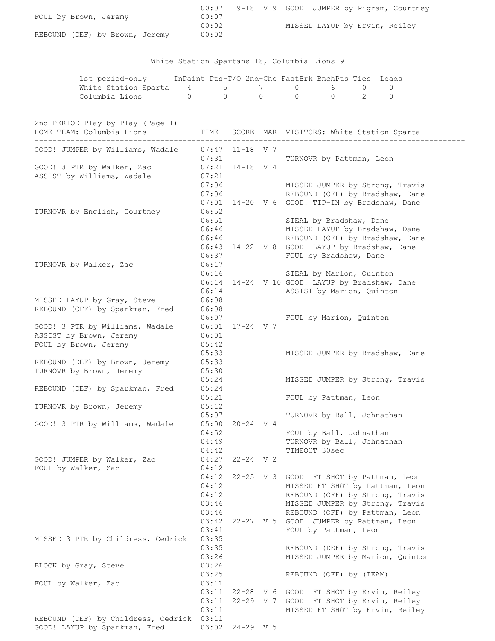| FOUL by Brown, Jeremy                                                               | 00:07                                     |                     |                                                                                                                                                                                                                   |
|-------------------------------------------------------------------------------------|-------------------------------------------|---------------------|-------------------------------------------------------------------------------------------------------------------------------------------------------------------------------------------------------------------|
| REBOUND (DEF) by Brown, Jeremy 00:02                                                | 00:02                                     |                     | MISSED LAYUP by Ervin, Reiley                                                                                                                                                                                     |
|                                                                                     |                                           |                     | White Station Spartans 18, Columbia Lions 9                                                                                                                                                                       |
| White Station Sparta $4$ 5 7 0 6 0                                                  |                                           |                     | 1st period-only InPaint Pts-T/O 2nd-Chc FastBrk BnchPts Ties Leads<br>$\mathbf{0}$                                                                                                                                |
| Columbia Lions 0 0 0 0 0 0 2 0                                                      |                                           |                     |                                                                                                                                                                                                                   |
| 2nd PERIOD Play-by-Play (Page 1)<br>HOME TEAM: Columbia Lions<br>------------------ |                                           |                     | TIME SCORE MAR VISITORS: White Station Sparta                                                                                                                                                                     |
| GOOD! JUMPER by Williams, Wadale 07:47 11-18 V 7                                    | 07:31                                     |                     | TURNOVR by Pattman, Leon                                                                                                                                                                                          |
| GOOD! 3 PTR by Walker, Zac<br>ASSIST by Williams, Wadale                            | $07:21$ $14-18$ V 4<br>07:21<br>07:06     |                     | MISSED JUMPER by Strong, Travis                                                                                                                                                                                   |
| TURNOVR by English, Courtney                                                        | 06:52<br>06:51                            |                     | 07:06 REBOUND (OFF) by Bradshaw, Dane<br>07:01 14-20 V 6 GOOD! TIP-IN by Bradshaw, Dane<br>STEAL by Bradshaw, Dane                                                                                                |
|                                                                                     | 06:46<br>06:46<br>06:37                   |                     | MISSED LAYUP by Bradshaw, Dane<br>REBOUND (OFF) by Bradshaw, Dane<br>06:43 14-22 V 8 GOOD! LAYUP by Bradshaw, Dane<br>FOUL by Bradshaw, Dane                                                                      |
| TURNOVR by Walker, Zac                                                              | 06:17<br>06:16<br>06:14                   |                     | STEAL by Marion, Quinton<br>06:14 14-24 V 10 GOOD! LAYUP by Bradshaw, Dane<br>ASSIST by Marion, Quinton                                                                                                           |
| MISSED LAYUP by Gray, Steve<br>REBOUND (OFF) by Sparkman, Fred                      | 06:08<br>06:08<br>06:07                   |                     | FOUL by Marion, Quinton                                                                                                                                                                                           |
| GOOD! 3 PTR by Williams, Wadale<br>ASSIST by Brown, Jeremy<br>FOUL by Brown, Jeremy | 06:01 17-24 V 7<br>06:01<br>05:42         |                     |                                                                                                                                                                                                                   |
| REBOUND (DEF) by Brown, Jeremy<br>TURNOVR by Brown, Jeremy                          | 05:33<br>05:33<br>05:30<br>05:24          |                     | MISSED JUMPER by Bradshaw, Dane<br>MISSED JUMPER by Strong, Travis                                                                                                                                                |
| REBOUND (DEF) by Sparkman, Fred                                                     | 05:24<br>05:21                            |                     | FOUL by Pattman, Leon                                                                                                                                                                                             |
| TURNOVR by Brown, Jeremy<br>GOOD! 3 PTR by Williams, Wadale                         | 05:12<br>05:07                            | $05:00$ $20-24$ V 4 | TURNOVR by Ball, Johnathan                                                                                                                                                                                        |
|                                                                                     | 04:52<br>04:49<br>04:42                   |                     | FOUL by Ball, Johnathan<br>TURNOVR by Ball, Johnathan<br>TIMEOUT 30sec                                                                                                                                            |
| GOOD! JUMPER by Walker, Zac<br>FOUL by Walker, Zac                                  | 04:27<br>04:12<br>04:12                   | 22-24 V 2           | 22-25 V 3 GOOD! FT SHOT by Pattman, Leon                                                                                                                                                                          |
|                                                                                     | 04:12<br>04:12<br>03:46<br>03:46<br>03:41 |                     | MISSED FT SHOT by Pattman, Leon<br>REBOUND (OFF) by Strong, Travis<br>MISSED JUMPER by Strong, Travis<br>REBOUND (OFF) by Pattman, Leon<br>03:42 22-27 V 5 GOOD! JUMPER by Pattman, Leon<br>FOUL by Pattman, Leon |
| MISSED 3 PTR by Childress, Cedrick                                                  | 03:35<br>03:35<br>03:26                   |                     | REBOUND (DEF) by Strong, Travis<br>MISSED JUMPER by Marion, Quinton                                                                                                                                               |
| BLOCK by Gray, Steve                                                                | 03:26<br>03:25                            |                     | REBOUND (OFF) by (TEAM)                                                                                                                                                                                           |
| FOUL by Walker, Zac                                                                 | 03:11<br>03:11<br>03:11<br>03:11          | $22 - 29$ V 7       | 22-28 V 6 GOOD! FT SHOT by Ervin, Reiley<br>GOOD! FT SHOT by Ervin, Reiley<br>MISSED FT SHOT by Ervin, Reiley                                                                                                     |
| REBOUND (DEF) by Childress, Cedrick 03:11<br>GOOD! LAYUP by Sparkman, Fred          |                                           | 03:02 24-29 V 5     |                                                                                                                                                                                                                   |

00:07 9-18 V 9 GOOD! JUMPER by Pigram, Courtney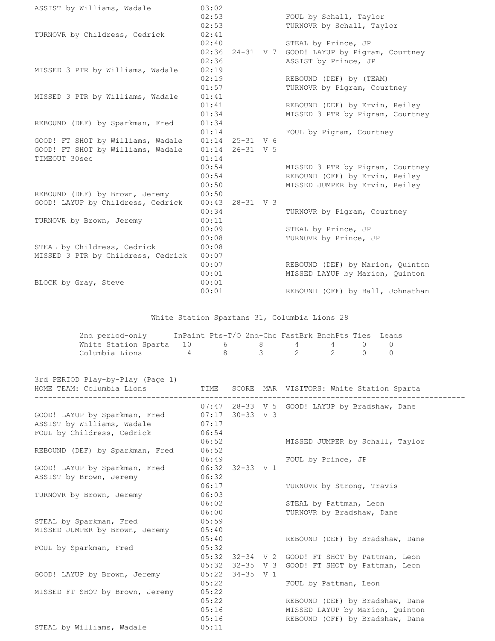| ASSIST by Williams, Wadale         | 03:02<br>02:53<br>02:53 |                   | FOUL by Schall, Taylor<br>TURNOVR by Schall, Taylor |
|------------------------------------|-------------------------|-------------------|-----------------------------------------------------|
| TURNOVR by Childress, Cedrick      | 02:41                   |                   |                                                     |
|                                    | 02:40                   |                   | STEAL by Prince, JP                                 |
|                                    |                         |                   | 02:36 24-31 V 7 GOOD! LAYUP by Pigram, Courtney     |
|                                    | 02:36                   |                   | ASSIST by Prince, JP                                |
| MISSED 3 PTR by Williams, Wadale   | 02:19                   |                   |                                                     |
|                                    | 02:19                   |                   | REBOUND (DEF) by (TEAM)                             |
|                                    | 01:57                   |                   | TURNOVR by Pigram, Courtney                         |
| MISSED 3 PTR by Williams, Wadale   | 01:41                   |                   |                                                     |
|                                    | 01:41                   |                   | REBOUND (DEF) by Ervin, Reiley                      |
|                                    | 01:34                   |                   | MISSED 3 PTR by Pigram, Courtney                    |
| REBOUND (DEF) by Sparkman, Fred    | 01:34                   |                   |                                                     |
|                                    | 01:14                   |                   | FOUL by Pigram, Courtney                            |
| GOOD! FT SHOT by Williams, Wadale  |                         | $01:14$ 25-31 V 6 |                                                     |
| GOOD! FT SHOT by Williams, Wadale  | 01:14                   | $26 - 31$ V 5     |                                                     |
| TIMEOUT 30sec                      | 01:14                   |                   |                                                     |
|                                    | 00:54                   |                   | MISSED 3 PTR by Pigram, Courtney                    |
|                                    | 00:54                   |                   | REBOUND (OFF) by Ervin, Reiley                      |
|                                    | 00:50                   |                   | MISSED JUMPER by Ervin, Reiley                      |
| REBOUND (DEF) by Brown, Jeremy     | 00:50                   |                   |                                                     |
| GOOD! LAYUP by Childress, Cedrick  | 00:43                   | $28 - 31$ V 3     |                                                     |
|                                    | 00:34                   |                   | TURNOVR by Pigram, Courtney                         |
| TURNOVR by Brown, Jeremy           | 00:11                   |                   |                                                     |
|                                    | 00:09                   |                   | STEAL by Prince, JP                                 |
|                                    | 00:08                   |                   | TURNOVR by Prince, JP                               |
| STEAL by Childress, Cedrick        | 00:08                   |                   |                                                     |
| MISSED 3 PTR by Childress, Cedrick | 00:07                   |                   |                                                     |
|                                    | 00:07                   |                   | REBOUND (DEF) by Marion, Quinton                    |
|                                    | 00:01                   |                   | MISSED LAYUP by Marion, Quinton                     |
| BLOCK by Gray, Steve               | 00:01                   |                   |                                                     |
|                                    | 00:01                   |                   | REBOUND (OFF) by Ball, Johnathan                    |
|                                    |                         |                   | White Station Spartans 31, Columbia Lions 28        |

| 2nd period-only                     |   | InPaint Pts-T/O 2nd-Chc FastBrk BnchPts Ties Leads |                             |         |  |
|-------------------------------------|---|----------------------------------------------------|-----------------------------|---------|--|
| White Station Sparta 10 6 8 4 4 0 0 |   |                                                    |                             |         |  |
| Columbia Lions                      | 4 |                                                    | $\mathcal{B}$ $\mathcal{B}$ | 2 2 0 0 |  |

|                         |                                                                        |                | TIME SCORE MAR VISITORS: White Station Sparta                                                         |
|-------------------------|------------------------------------------------------------------------|----------------|-------------------------------------------------------------------------------------------------------|
| 07:17                   |                                                                        |                | 07:47 28-33 V 5 GOOD! LAYUP by Bradshaw, Dane                                                         |
| 06:52                   |                                                                        |                | MISSED JUMPER by Schall, Taylor                                                                       |
| 06:49                   |                                                                        |                | FOUL by Prince, JP                                                                                    |
| 06:32                   |                                                                        |                | TURNOVR by Strong, Travis                                                                             |
| 06:03<br>06:02          |                                                                        |                | STEAL by Pattman, Leon                                                                                |
| 06:00<br>05:59          |                                                                        |                | TURNOVR by Bradshaw, Dane                                                                             |
| 05:40                   |                                                                        |                | REBOUND (DEF) by Bradshaw, Dane                                                                       |
| 05:32<br>05:32          |                                                                        |                | 32-34 V 2 GOOD! FT SHOT by Pattman, Leon<br>32-35 V 3 GOOD! FT SHOT by Pattman, Leon                  |
| 05:22<br>05:22          |                                                                        |                | FOUL by Pattman, Leon                                                                                 |
| 05:22<br>05:16<br>05:11 |                                                                        |                | REBOUND (DEF) by Bradshaw, Dane<br>MISSED LAYUP by Marion, Quinton<br>REBOUND (OFF) by Bradshaw, Dane |
|                         | HOME TEAM: Columbia Lions<br>06:54<br>06:52<br>06:17<br>05:40<br>05:32 | 05:22<br>05:16 | $07:17$ 30-33 V 3<br>$06:32$ $32-33$ V 1<br>$34 - 35$ V 1                                             |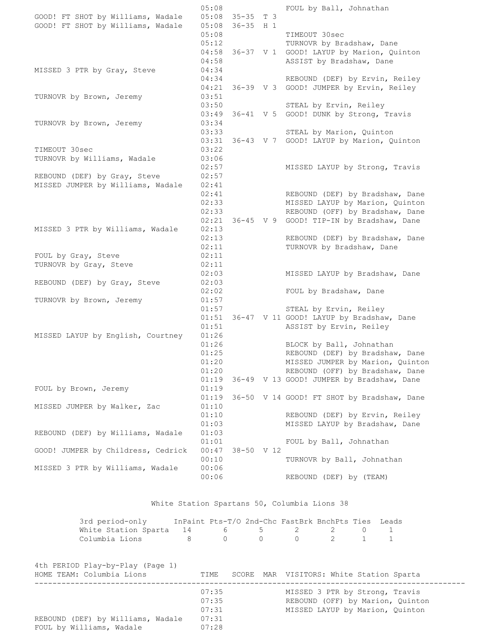05:08 FOUL by Ball, Johnathan GOOD! FT SHOT by Williams, Wadale 05:08 35-35 T 3<br>GOOD! FT SHOT by Williams, Wadale 05:08 36-35 H 1 GOOD! FT SHOT by Williams, Wadale 05:08 TIMEOUT 30sec 05:12 TURNOVR by Bradshaw, Dane 04:58 36-37 V 1 GOOD! LAYUP by Marion, Quinton 04:58 ASSIST by Bradshaw, Dane MISSED 3 PTR by Gray, Steve 04:34 04:34 REBOUND (DEF) by Ervin, Reiley 04:21 36-39 V 3 GOOD! JUMPER by Ervin, Reiley TURNOVR by Brown, Jeremy 03:51 03:50 STEAL by Ervin, Reiley 03:49 36-41 V 5 GOOD! DUNK by Strong, Travis TURNOVR by Brown, Jeremy 03:34 03:33 STEAL by Marion, Quinton 03:31 36-43 V 7 GOOD! LAYUP by Marion, Quinton TIMEOUT 30sec 03:22 TURNOVR by Williams, Wadale 03:06 02:57 MISSED LAYUP by Strong, Travis REBOUND (DEF) by Gray, Steve 02:57 MISSED JUMPER by Williams, Wadale 02:41 02:41 REBOUND (DEF) by Bradshaw, Dane 02:33 MISSED LAYUP by Marion, Quinton 02:33 REBOUND (OFF) by Bradshaw, Dane 02:21 36-45 V 9 GOOD! TIP-IN by Bradshaw, Dane MISSED 3 PTR by Williams, Wadale 02:13 02:13 REBOUND (DEF) by Bradshaw, Dane 02:11 TURNOVR by Bradshaw, Dane FOUL by Gray, Steve 02:11 TURNOVR by Gray, Steve 02:11 02:03 MISSED LAYUP by Bradshaw, Dane REBOUND (DEF) by Gray, Steve 02:03 02:02 FOUL by Bradshaw, Dane TURNOVR by Brown, Jeremy 01:57 01:57 STEAL by Ervin, Reiley 01:51 36-47 V 11 GOOD! LAYUP by Bradshaw, Dane 01:51 ASSIST by Ervin, Reiley MISSED LAYUP by English, Courtney 01:26 01:26 BLOCK by Ball, Johnathan 01:25 REBOUND (DEF) by Bradshaw, Dane 01:20 MISSED JUMPER by Marion, Quinton 01:20 REBOUND (OFF) by Bradshaw, Dane 01:19 36-49 V 13 GOOD! JUMPER by Bradshaw, Dane FOUL by Brown, Jeremy 01:19 01:19 36-50 V 14 GOOD! FT SHOT by Bradshaw, Dane MISSED JUMPER by Walker, Zac 01:10 01:10 REBOUND (DEF) by Ervin, Reiley 01:03 MISSED LAYUP by Bradshaw, Dane REBOUND (DEF) by Williams, Wadale 01:03 01:01 FOUL by Ball, Johnathan GOOD! JUMPER by Childress, Cedrick 00:47 38-50 V 12 00:10 TURNOVR by Ball, Johnathan MISSED 3 PTR by Williams, Wadale 00:06 00:06 REBOUND (DEF) by (TEAM)

## White Station Spartans 50, Columbia Lions 38

| 3rd period-only                       |  | InPaint Pts-T/O 2nd-Chc FastBrk BnchPts Ties Leads |  |  |
|---------------------------------------|--|----------------------------------------------------|--|--|
| White Station Sparta $14$ 6 5 2 2 0 1 |  |                                                    |  |  |
| Columbia Lions                        |  | 0 0 0 2 1 1                                        |  |  |

4th PERIOD Play-by-Play (Page 1)

| HOME TEAM: Columbia Lions                                     | TIME                                      |  | SCORE MAR VISITORS: White Station Sparta                                                              |
|---------------------------------------------------------------|-------------------------------------------|--|-------------------------------------------------------------------------------------------------------|
| REBOUND (DEF) by Williams, Wadale<br>FOUL by Williams, Wadale | 07:35<br>07:35<br>07:31<br>07:31<br>07:28 |  | MISSED 3 PTR by Strong, Travis<br>REBOUND (OFF) by Marion, Quinton<br>MISSED LAYUP by Marion, Quinton |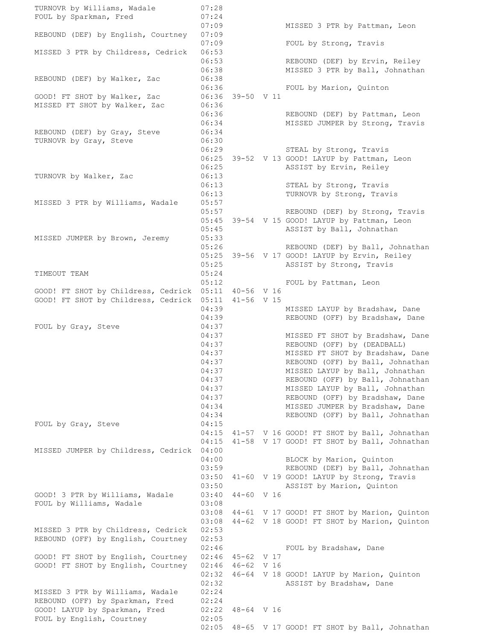TURNOVR by Williams, Wadale 07:28 FOUL by Sparkman, Fred 07:24 07:09 MISSED 3 PTR by Pattman, Leon REBOUND (DEF) by English, Courtney 07:09 07:09 FOUL by Strong, Travis MISSED 3 PTR by Childress, Cedrick 06:53 06:53 REBOUND (DEF) by Ervin, Reiley 06:38 MISSED 3 PTR by Ball, Johnathan REBOUND (DEF) by Walker, Zac 06:38 06:36 FOUL by Marion, Quinton GOOD! FT SHOT by Walker, Zac MISSED FT SHOT by Walker, Zac 06:36 REBOUND (DEF) by Pattman, Leon 06:34 MISSED JUMPER by Strong, Travis REBOUND (DEF) by Gray, Steve 06:34 TURNOVR by Gray, Steve 06:30 06:29 STEAL by Strong, Travis 06:25 39-52 V 13 GOOD! LAYUP by Pattman, Leon 06:25 ASSIST by Ervin, Reiley TURNOVR by Walker, Zac 06:13 06:13 STEAL by Strong, Travis 06:13 TURNOVR by Strong, Travis MISSED 3 PTR by Williams, Wadale 05:57 05:57 REBOUND (DEF) by Strong, Travis 05:45 39-54 V 15 GOOD! LAYUP by Pattman, Leon 05:45 ASSIST by Ball, Johnathan MISSED JUMPER by Brown, Jeremy 05:33 05:26 REBOUND (DEF) by Ball, Johnathan 05:25 39-56 V 17 GOOD! LAYUP by Ervin, Reiley 05:25 ASSIST by Strong, Travis TIMEOUT TEAM 05:24 05:12 FOUL by Pattman, Leon GOOD! FT SHOT by Childress, Cedrick 05:11 40-56 V 16 GOOD! FT SHOT by Childress, Cedrick 05:11 41-56 V 15 04:39 MISSED LAYUP by Bradshaw, Dane 04:39 REBOUND (OFF) by Bradshaw, Dane FOUL by Gray, Steve 04:37 04:37 MISSED FT SHOT by Bradshaw, Dane 04:37 REBOUND (OFF) by (DEADBALL) 04:37 MISSED FT SHOT by Bradshaw, Dane 04:37 REBOUND (OFF) by Ball, Johnathan 04:37 MISSED LAYUP by Ball, Johnathan 04:37 REBOUND (OFF) by Ball, Johnathan 04:37 MISSED LAYUP by Ball, Johnathan 04:37 REBOUND (OFF) by Bradshaw, Dane 04:34 MISSED JUMPER by Bradshaw, Dane 04:34 REBOUND (OFF) by Ball, Johnathan FOUL by Gray, Steve 04:15 04:15 41-57 V 16 GOOD! FT SHOT by Ball, Johnathan 04:15 41-58 V 17 GOOD! FT SHOT by Ball, Johnathan MISSED JUMPER by Childress, Cedrick 04:00 04:00 BLOCK by Marion, Quinton 03:59 REBOUND (DEF) by Ball, Johnathan 03:50 41-60 V 19 GOOD! LAYUP by Strong, Travis 03:50 ASSIST by Marion, Quinton GOOD! 3 PTR by Williams, Wadale 03:40 44-60 V 16 FOUL by Williams, Wadale 03:08 03:08 44-61 V 17 GOOD! FT SHOT by Marion, Quinton 03:08 44-62 V 18 GOOD! FT SHOT by Marion, Quinton MISSED 3 PTR by Childress, Cedrick 02:53 REBOUND (OFF) by English, Courtney 02:53 02:46 FOUL by Bradshaw, Dane GOOD! FT SHOT by English, Courtney 02:46 45-62 V 17 GOOD! FT SHOT by English, Courtney 02:46 46-62 V 16 02:32 46-64 V 18 GOOD! LAYUP by Marion, Quinton 02:32 ASSIST by Bradshaw, Dane MISSED 3 PTR by Williams, Wadale 02:24 REBOUND (OFF) by Sparkman, Fred 02:24 GOOD! LAYUP by Sparkman, Fred 02:22 48-64 V 16 FOUL by English, Courtney 02:05 02:05 48-65 V 17 GOOD! FT SHOT by Ball, Johnathan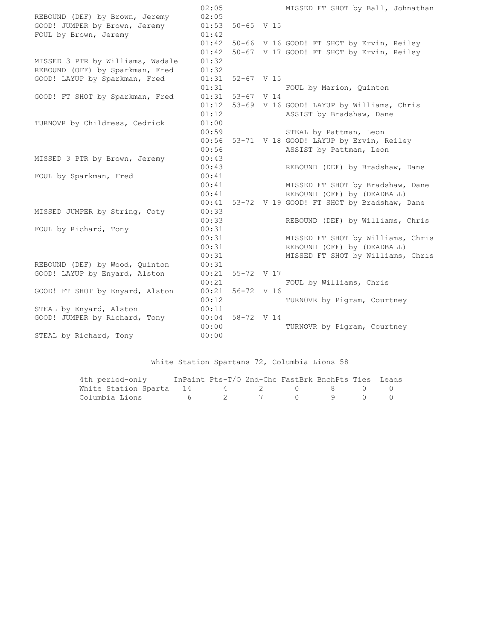02:05 MISSED FT SHOT by Ball, Johnathan REBOUND (DEF) by Brown, Jeremy 02:05 GOOD! JUMPER by Brown, Jeremy 01:53 50-65 V 15 FOUL by Brown, Jeremy 01:42 01:42 50-66 V 16 GOOD! FT SHOT by Ervin, Reiley 01:42 50-67 V 17 GOOD! FT SHOT by Ervin, Reiley MISSED 3 PTR by Williams, Wadale 01:32 REBOUND (OFF) by Sparkman, Fred 01:32 GOOD! LAYUP by Sparkman, Fred 01:31 52-67 V 15 01:31 FOUL by Marion, Quinton GOOD! FT SHOT by Sparkman, Fred 01:31 53-67 V 14 01:12 53-69 V 16 GOOD! LAYUP by Williams, Chris 01:12 ASSIST by Bradshaw, Dane TURNOVR by Childress, Cedrick 01:00 00:59 STEAL by Pattman, Leon 00:56 53-71 V 18 GOOD! LAYUP by Ervin, Reiley 00:56 ASSIST by Pattman, Leon MISSED 3 PTR by Brown, Jeremy 00:43 00:43 REBOUND (DEF) by Bradshaw, Dane FOUL by Sparkman, Fred 00:41 00:41 MISSED FT SHOT by Bradshaw, Dane 00:41 REBOUND (OFF) by (DEADBALL) 00:41 53-72 V 19 GOOD! FT SHOT by Bradshaw, Dane MISSED JUMPER by String, Coty 00:33 00:33 REBOUND (DEF) by Williams, Chris FOUL by Richard, Tony 00:31 00:31 MISSED FT SHOT by Williams, Chris 00:31 REBOUND (OFF) by (DEADBALL) 00:31 MISSED FT SHOT by Williams, Chris REBOUND (DEF) by Wood, Quinton 00:31 GOOD! LAYUP by Enyard, Alston 00:21 55-72 V 17 00:21 FOUL by Williams, Chris GOOD! FT SHOT by Enyard, Alston 00:21 56-72 V 16 00:12 TURNOVR by Pigram, Courtney STEAL by Enyard, Alston 00:11 GOOD! JUMPER by Richard, Tony 00:04 58-72 V 14 00:00 TURNOVR by Pigram, Courtney STEAL by Richard, Tony 00:00

White Station Spartans 72, Columbia Lions 58

| 4th period-only                     | InPaint Pts-T/O 2nd-Chc FastBrk BnchPts Ties Leads |  |  |  |
|-------------------------------------|----------------------------------------------------|--|--|--|
| White Station Sparta 14 a 2 d 8 0 0 |                                                    |  |  |  |
|                                     |                                                    |  |  |  |